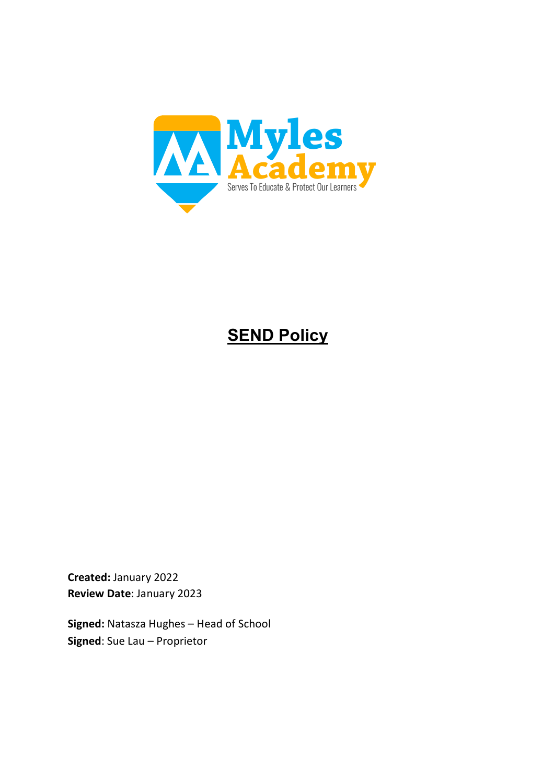

# **SEND Policy**

**Created:** January 2022 **Review Date**: January 2023

**Signed:** Natasza Hughes – Head of School **Signed**: Sue Lau – Proprietor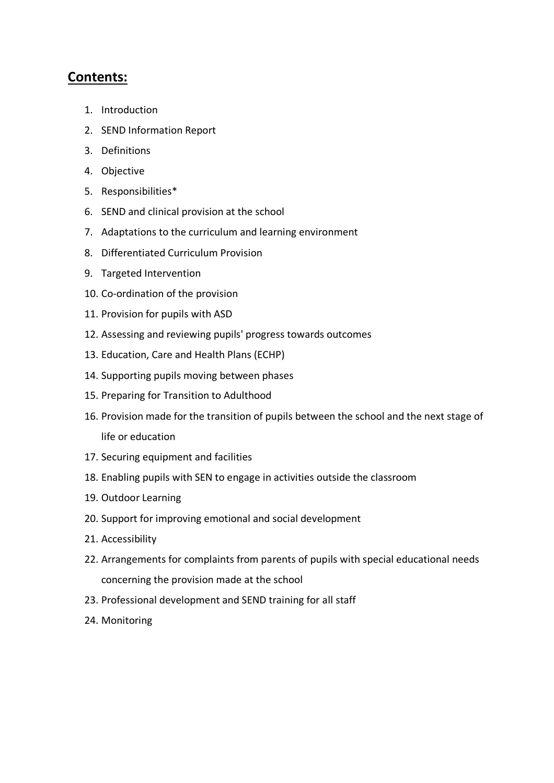# **Contents:**

- 1. Introduction
- 2. SEND Information Report
- 3. Definitions
- 4. Objective
- 5. Responsibilities\*
- 6. SEND and clinical provision at the school
- 7. Adaptations to the curriculum and learning environment
- 8. Differentiated Curriculum Provision
- 9. Targeted Intervention
- 10. Co-ordination of the provision
- 11. Provision for pupils with ASD
- 12. Assessing and reviewing pupils' progress towards outcomes
- 13. Education, Care and Health Plans (ECHP)
- 14. Supporting pupils moving between phases
- 15. Preparing for Transition to Adulthood
- 16. Provision made for the transition of pupils between the school and the next stage of life or education
- 17. Securing equipment and facilities
- 18. Enabling pupils with SEN to engage in activities outside the classroom
- 19. Outdoor Learning
- 20. Support for improving emotional and social development
- 21. Accessibility
- 22. Arrangements for complaints from parents of pupils with special educational needs concerning the provision made at the school
- 23. Professional development and SEND training for all staff
- 24. Monitoring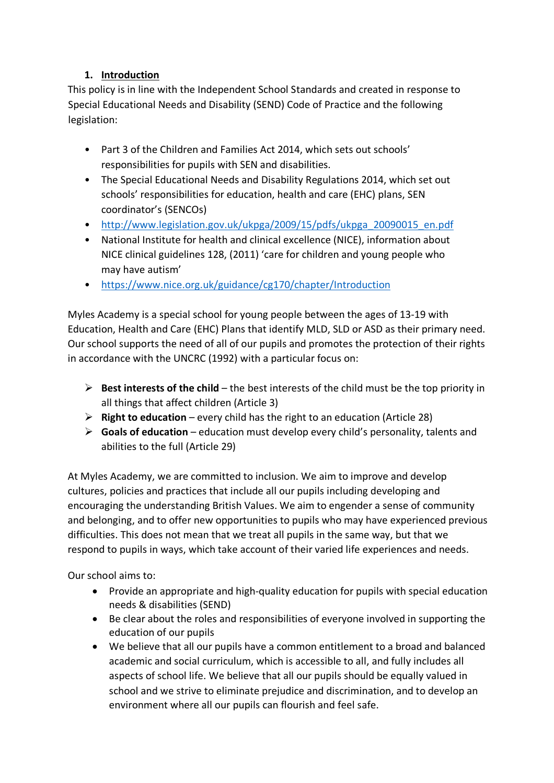## **1. Introduction**

This policy is in line with the Independent School Standards and created in response to Special Educational Needs and Disability (SEND) Code of Practice and the following legislation:

- Part 3 of the Children and Families Act 2014, which sets out schools' responsibilities for pupils with SEN and disabilities.
- The Special Educational Needs and Disability Regulations 2014, which set out schools' responsibilities for education, health and care (EHC) plans, SEN coordinator's (SENCOs)
- http://www.legislation.gov.uk/ukpga/2009/15/pdfs/ukpga\_20090015\_en.pdf
- National Institute for health and clinical excellence (NICE), information about NICE clinical guidelines 128, (2011) 'care for children and young people who may have autism'
- https://www.nice.org.uk/guidance/cg170/chapter/Introduction

Myles Academy is a special school for young people between the ages of 13-19 with Education, Health and Care (EHC) Plans that identify MLD, SLD or ASD as their primary need. Our school supports the need of all of our pupils and promotes the protection of their rights in accordance with the UNCRC (1992) with a particular focus on:

- $\triangleright$  **Best interests of the child** the best interests of the child must be the top priority in all things that affect children (Article 3)
- Ø **Right to education** every child has the right to an education (Article 28)
- Ø **Goals of education**  education must develop every child's personality, talents and abilities to the full (Article 29)

At Myles Academy, we are committed to inclusion. We aim to improve and develop cultures, policies and practices that include all our pupils including developing and encouraging the understanding British Values. We aim to engender a sense of community and belonging, and to offer new opportunities to pupils who may have experienced previous difficulties. This does not mean that we treat all pupils in the same way, but that we respond to pupils in ways, which take account of their varied life experiences and needs.

Our school aims to:

- Provide an appropriate and high-quality education for pupils with special education needs & disabilities (SEND)
- Be clear about the roles and responsibilities of everyone involved in supporting the education of our pupils
- We believe that all our pupils have a common entitlement to a broad and balanced academic and social curriculum, which is accessible to all, and fully includes all aspects of school life. We believe that all our pupils should be equally valued in school and we strive to eliminate prejudice and discrimination, and to develop an environment where all our pupils can flourish and feel safe.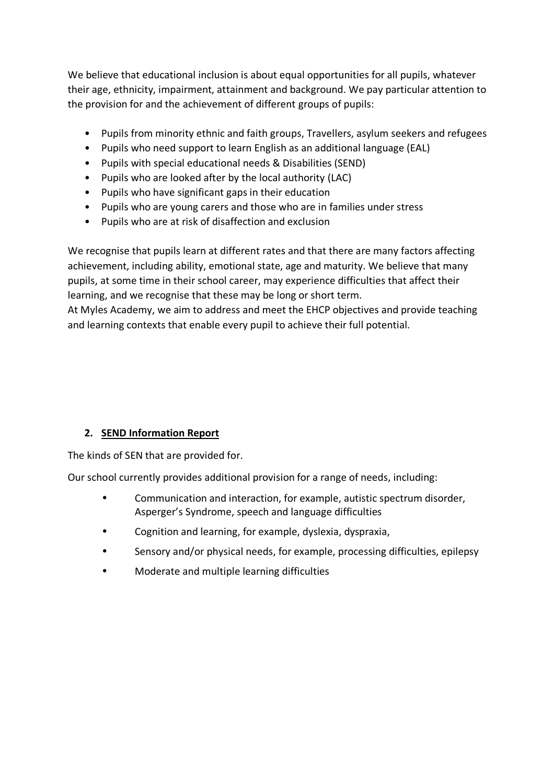We believe that educational inclusion is about equal opportunities for all pupils, whatever their age, ethnicity, impairment, attainment and background. We pay particular attention to the provision for and the achievement of different groups of pupils:

- Pupils from minority ethnic and faith groups, Travellers, asylum seekers and refugees
- Pupils who need support to learn English as an additional language (EAL)
- Pupils with special educational needs & Disabilities (SEND)
- Pupils who are looked after by the local authority (LAC)
- Pupils who have significant gaps in their education
- Pupils who are young carers and those who are in families under stress
- Pupils who are at risk of disaffection and exclusion

We recognise that pupils learn at different rates and that there are many factors affecting achievement, including ability, emotional state, age and maturity. We believe that many pupils, at some time in their school career, may experience difficulties that affect their learning, and we recognise that these may be long or short term.

At Myles Academy, we aim to address and meet the EHCP objectives and provide teaching and learning contexts that enable every pupil to achieve their full potential.

## **2. SEND Information Report**

The kinds of SEN that are provided for.

Our school currently provides additional provision for a range of needs, including:

- Communication and interaction, for example, autistic spectrum disorder, Asperger's Syndrome, speech and language difficulties
- Cognition and learning, for example, dyslexia, dyspraxia,
- Sensory and/or physical needs, for example, processing difficulties, epilepsy
- Moderate and multiple learning difficulties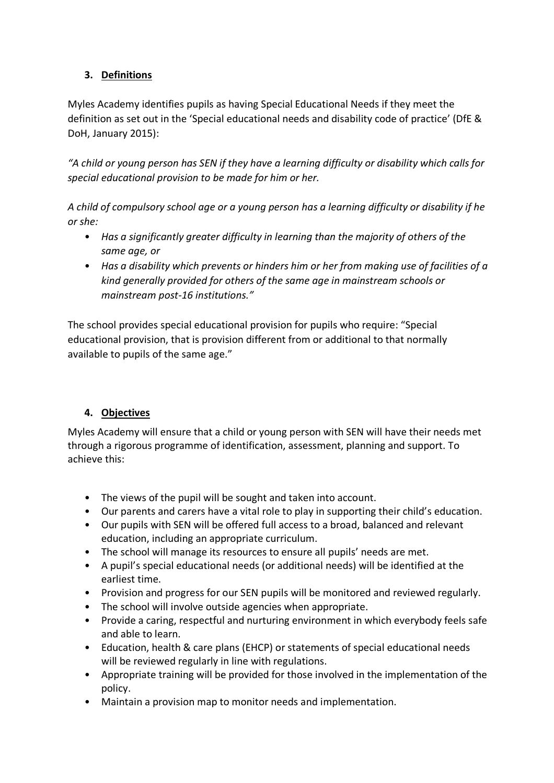## **3. Definitions**

Myles Academy identifies pupils as having Special Educational Needs if they meet the definition as set out in the 'Special educational needs and disability code of practice' (DfE & DoH, January 2015):

*"A child or young person has SEN if they have a learning difficulty or disability which calls for special educational provision to be made for him or her.* 

*A child of compulsory school age or a young person has a learning difficulty or disability if he or she:* 

- *Has a significantly greater difficulty in learning than the majority of others of the same age, or*
- *Has a disability which prevents or hinders him or her from making use of facilities of a kind generally provided for others of the same age in mainstream schools or mainstream post-16 institutions."*

The school provides special educational provision for pupils who require: "Special educational provision, that is provision different from or additional to that normally available to pupils of the same age."

## **4. Objectives**

Myles Academy will ensure that a child or young person with SEN will have their needs met through a rigorous programme of identification, assessment, planning and support. To achieve this:

- The views of the pupil will be sought and taken into account.
- Our parents and carers have a vital role to play in supporting their child's education.
- Our pupils with SEN will be offered full access to a broad, balanced and relevant education, including an appropriate curriculum.
- The school will manage its resources to ensure all pupils' needs are met.
- A pupil's special educational needs (or additional needs) will be identified at the earliest time.
- Provision and progress for our SEN pupils will be monitored and reviewed regularly.
- The school will involve outside agencies when appropriate.
- Provide a caring, respectful and nurturing environment in which everybody feels safe and able to learn.
- Education, health & care plans (EHCP) or statements of special educational needs will be reviewed regularly in line with regulations.
- Appropriate training will be provided for those involved in the implementation of the policy.
- Maintain a provision map to monitor needs and implementation.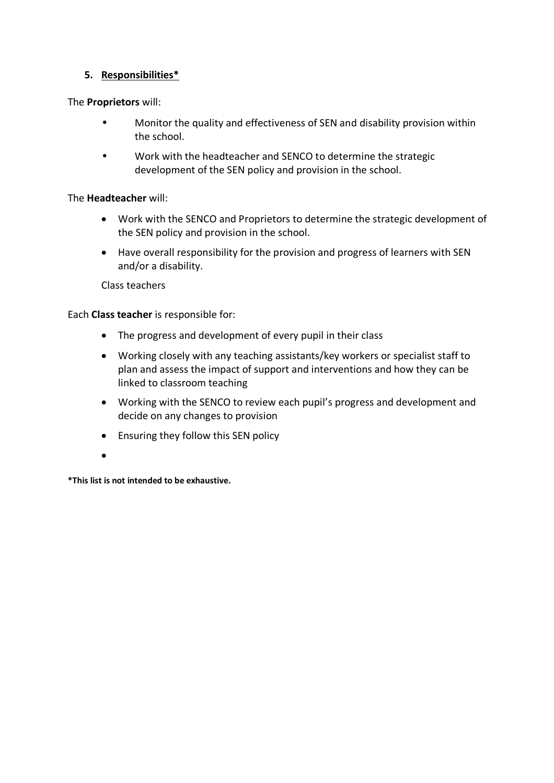#### **5. Responsibilities\***

The **Proprietors** will:

- Monitor the quality and effectiveness of SEN and disability provision within the school.
- Work with the headteacher and SENCO to determine the strategic development of the SEN policy and provision in the school.

#### The **Headteacher** will:

- Work with the SENCO and Proprietors to determine the strategic development of the SEN policy and provision in the school.
- Have overall responsibility for the provision and progress of learners with SEN and/or a disability.

Class teachers

Each **Class teacher** is responsible for:

- The progress and development of every pupil in their class
- Working closely with any teaching assistants/key workers or specialist staff to plan and assess the impact of support and interventions and how they can be linked to classroom teaching
- Working with the SENCO to review each pupil's progress and development and decide on any changes to provision
- Ensuring they follow this SEN policy
- •

**\*This list is not intended to be exhaustive.**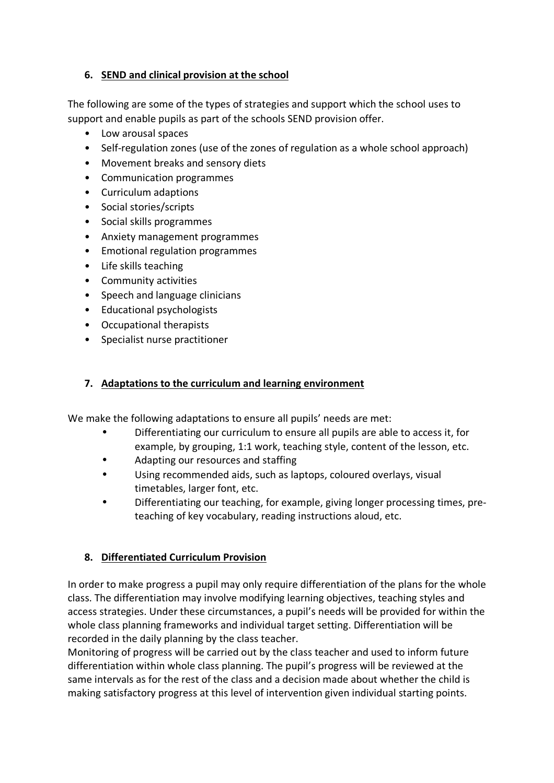#### **6. SEND and clinical provision at the school**

The following are some of the types of strategies and support which the school uses to support and enable pupils as part of the schools SEND provision offer.

- Low arousal spaces
- Self-regulation zones (use of the zones of regulation as a whole school approach)
- Movement breaks and sensory diets
- Communication programmes
- Curriculum adaptions
- Social stories/scripts
- Social skills programmes
- Anxiety management programmes
- Emotional regulation programmes
- Life skills teaching
- Community activities
- Speech and language clinicians
- Educational psychologists
- Occupational therapists
- Specialist nurse practitioner

#### **7. Adaptations to the curriculum and learning environment**

We make the following adaptations to ensure all pupils' needs are met:

- Differentiating our curriculum to ensure all pupils are able to access it, for example, by grouping, 1:1 work, teaching style, content of the lesson, etc.
- Adapting our resources and staffing
- Using recommended aids, such as laptops, coloured overlays, visual timetables, larger font, etc.
- Differentiating our teaching, for example, giving longer processing times, preteaching of key vocabulary, reading instructions aloud, etc.

#### **8. Differentiated Curriculum Provision**

In order to make progress a pupil may only require differentiation of the plans for the whole class. The differentiation may involve modifying learning objectives, teaching styles and access strategies. Under these circumstances, a pupil's needs will be provided for within the whole class planning frameworks and individual target setting. Differentiation will be recorded in the daily planning by the class teacher.

Monitoring of progress will be carried out by the class teacher and used to inform future differentiation within whole class planning. The pupil's progress will be reviewed at the same intervals as for the rest of the class and a decision made about whether the child is making satisfactory progress at this level of intervention given individual starting points.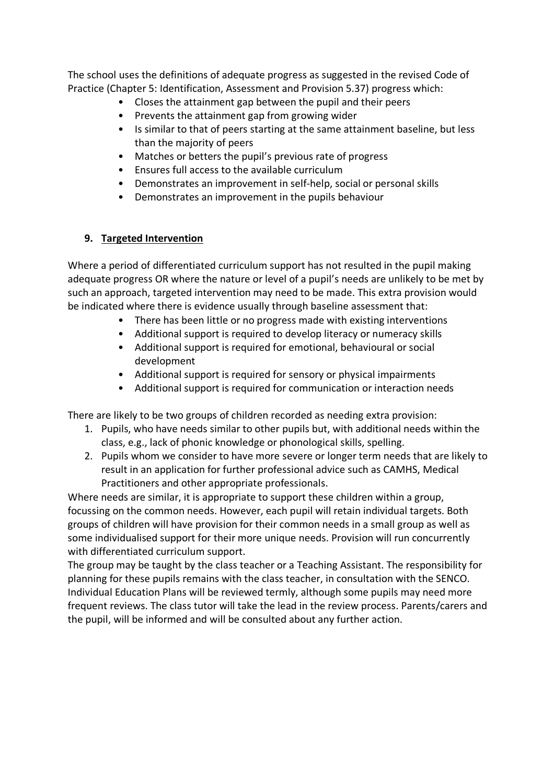The school uses the definitions of adequate progress as suggested in the revised Code of Practice (Chapter 5: Identification, Assessment and Provision 5.37) progress which:

- Closes the attainment gap between the pupil and their peers
- Prevents the attainment gap from growing wider
- Is similar to that of peers starting at the same attainment baseline, but less than the majority of peers
- Matches or betters the pupil's previous rate of progress
- Ensures full access to the available curriculum
- Demonstrates an improvement in self-help, social or personal skills
- Demonstrates an improvement in the pupils behaviour

#### **9. Targeted Intervention**

Where a period of differentiated curriculum support has not resulted in the pupil making adequate progress OR where the nature or level of a pupil's needs are unlikely to be met by such an approach, targeted intervention may need to be made. This extra provision would be indicated where there is evidence usually through baseline assessment that:

- There has been little or no progress made with existing interventions
- Additional support is required to develop literacy or numeracy skills
- Additional support is required for emotional, behavioural or social development
- Additional support is required for sensory or physical impairments
- Additional support is required for communication or interaction needs

There are likely to be two groups of children recorded as needing extra provision:

- 1. Pupils, who have needs similar to other pupils but, with additional needs within the class, e.g., lack of phonic knowledge or phonological skills, spelling.
- 2. Pupils whom we consider to have more severe or longer term needs that are likely to result in an application for further professional advice such as CAMHS, Medical Practitioners and other appropriate professionals.

Where needs are similar, it is appropriate to support these children within a group, focussing on the common needs. However, each pupil will retain individual targets. Both groups of children will have provision for their common needs in a small group as well as some individualised support for their more unique needs. Provision will run concurrently with differentiated curriculum support.

The group may be taught by the class teacher or a Teaching Assistant. The responsibility for planning for these pupils remains with the class teacher, in consultation with the SENCO. Individual Education Plans will be reviewed termly, although some pupils may need more frequent reviews. The class tutor will take the lead in the review process. Parents/carers and the pupil, will be informed and will be consulted about any further action.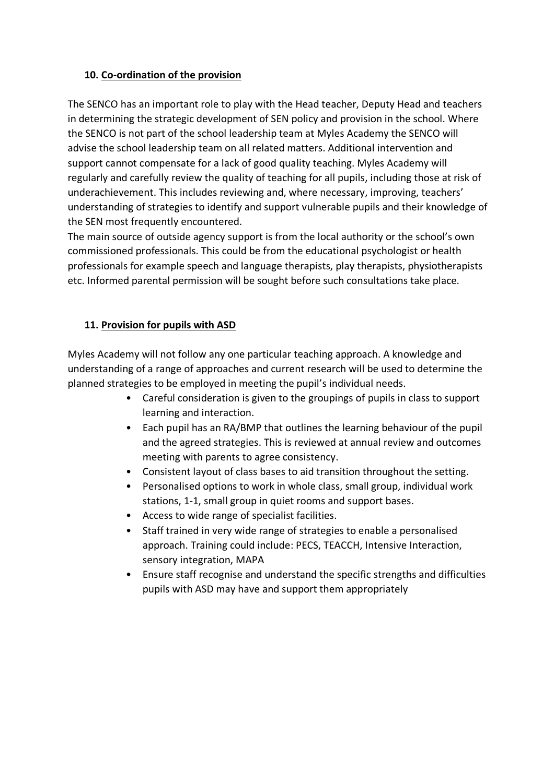#### **10. Co-ordination of the provision**

The SENCO has an important role to play with the Head teacher, Deputy Head and teachers in determining the strategic development of SEN policy and provision in the school. Where the SENCO is not part of the school leadership team at Myles Academy the SENCO will advise the school leadership team on all related matters. Additional intervention and support cannot compensate for a lack of good quality teaching. Myles Academy will regularly and carefully review the quality of teaching for all pupils, including those at risk of underachievement. This includes reviewing and, where necessary, improving, teachers' understanding of strategies to identify and support vulnerable pupils and their knowledge of the SEN most frequently encountered.

The main source of outside agency support is from the local authority or the school's own commissioned professionals. This could be from the educational psychologist or health professionals for example speech and language therapists, play therapists, physiotherapists etc. Informed parental permission will be sought before such consultations take place.

#### **11. Provision for pupils with ASD**

Myles Academy will not follow any one particular teaching approach. A knowledge and understanding of a range of approaches and current research will be used to determine the planned strategies to be employed in meeting the pupil's individual needs.

- Careful consideration is given to the groupings of pupils in class to support learning and interaction.
- Each pupil has an RA/BMP that outlines the learning behaviour of the pupil and the agreed strategies. This is reviewed at annual review and outcomes meeting with parents to agree consistency.
- Consistent layout of class bases to aid transition throughout the setting.
- Personalised options to work in whole class, small group, individual work stations, 1-1, small group in quiet rooms and support bases.
- Access to wide range of specialist facilities.
- Staff trained in very wide range of strategies to enable a personalised approach. Training could include: PECS, TEACCH, Intensive Interaction, sensory integration, MAPA
- Ensure staff recognise and understand the specific strengths and difficulties pupils with ASD may have and support them appropriately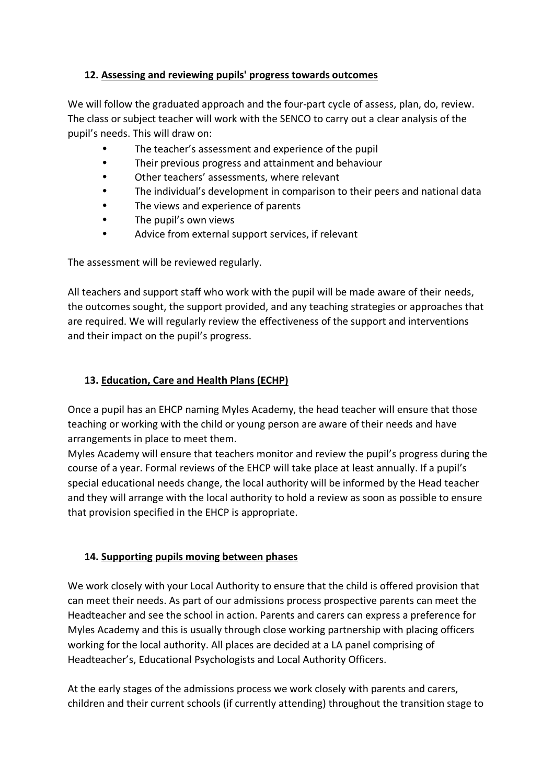#### **12. Assessing and reviewing pupils' progress towards outcomes**

We will follow the graduated approach and the four-part cycle of assess, plan, do, review. The class or subject teacher will work with the SENCO to carry out a clear analysis of the pupil's needs. This will draw on:

- The teacher's assessment and experience of the pupil
- Their previous progress and attainment and behaviour
- Other teachers' assessments, where relevant
- The individual's development in comparison to their peers and national data
- The views and experience of parents
- The pupil's own views
- Advice from external support services, if relevant

The assessment will be reviewed regularly.

All teachers and support staff who work with the pupil will be made aware of their needs, the outcomes sought, the support provided, and any teaching strategies or approaches that are required. We will regularly review the effectiveness of the support and interventions and their impact on the pupil's progress.

## **13. Education, Care and Health Plans (ECHP)**

Once a pupil has an EHCP naming Myles Academy, the head teacher will ensure that those teaching or working with the child or young person are aware of their needs and have arrangements in place to meet them.

Myles Academy will ensure that teachers monitor and review the pupil's progress during the course of a year. Formal reviews of the EHCP will take place at least annually. If a pupil's special educational needs change, the local authority will be informed by the Head teacher and they will arrange with the local authority to hold a review as soon as possible to ensure that provision specified in the EHCP is appropriate.

## **14. Supporting pupils moving between phases**

We work closely with your Local Authority to ensure that the child is offered provision that can meet their needs. As part of our admissions process prospective parents can meet the Headteacher and see the school in action. Parents and carers can express a preference for Myles Academy and this is usually through close working partnership with placing officers working for the local authority. All places are decided at a LA panel comprising of Headteacher's, Educational Psychologists and Local Authority Officers.

At the early stages of the admissions process we work closely with parents and carers, children and their current schools (if currently attending) throughout the transition stage to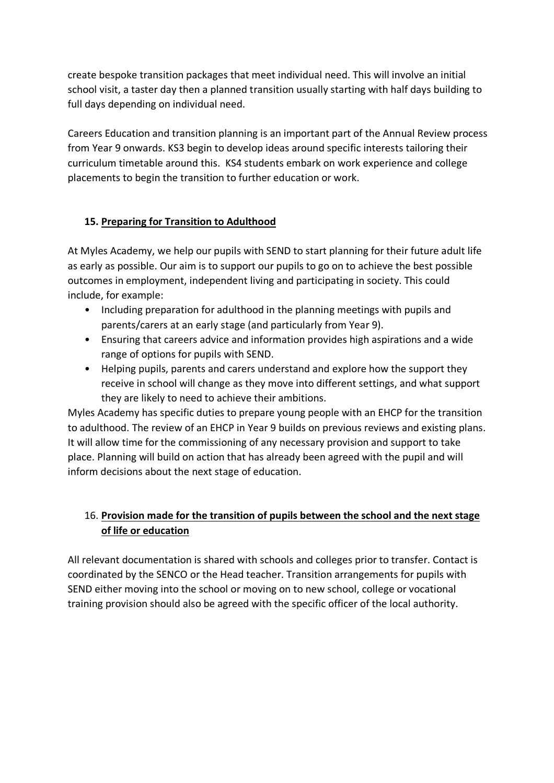create bespoke transition packages that meet individual need. This will involve an initial school visit, a taster day then a planned transition usually starting with half days building to full days depending on individual need.

Careers Education and transition planning is an important part of the Annual Review process from Year 9 onwards. KS3 begin to develop ideas around specific interests tailoring their curriculum timetable around this. KS4 students embark on work experience and college placements to begin the transition to further education or work.

## **15. Preparing for Transition to Adulthood**

At Myles Academy, we help our pupils with SEND to start planning for their future adult life as early as possible. Our aim is to support our pupils to go on to achieve the best possible outcomes in employment, independent living and participating in society. This could include, for example:

- Including preparation for adulthood in the planning meetings with pupils and parents/carers at an early stage (and particularly from Year 9).
- Ensuring that careers advice and information provides high aspirations and a wide range of options for pupils with SEND.
- Helping pupils, parents and carers understand and explore how the support they receive in school will change as they move into different settings, and what support they are likely to need to achieve their ambitions.

Myles Academy has specific duties to prepare young people with an EHCP for the transition to adulthood. The review of an EHCP in Year 9 builds on previous reviews and existing plans. It will allow time for the commissioning of any necessary provision and support to take place. Planning will build on action that has already been agreed with the pupil and will inform decisions about the next stage of education.

# 16. **Provision made for the transition of pupils between the school and the next stage of life or education**

All relevant documentation is shared with schools and colleges prior to transfer. Contact is coordinated by the SENCO or the Head teacher. Transition arrangements for pupils with SEND either moving into the school or moving on to new school, college or vocational training provision should also be agreed with the specific officer of the local authority.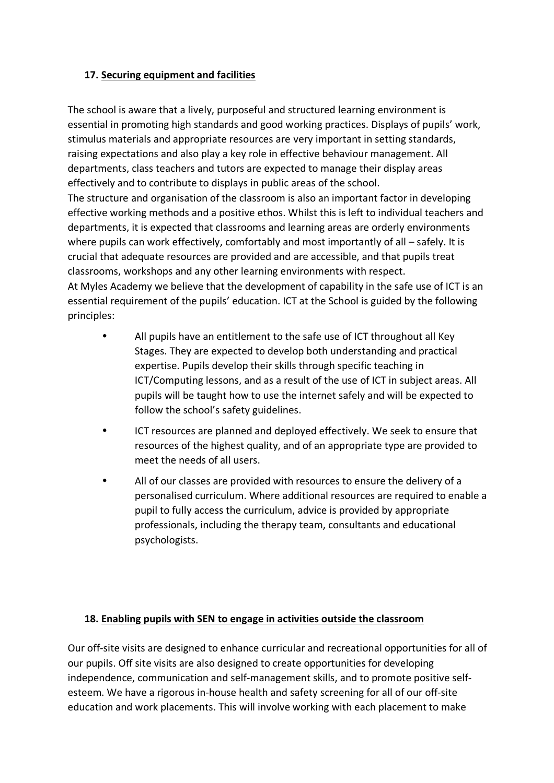#### **17. Securing equipment and facilities**

The school is aware that a lively, purposeful and structured learning environment is essential in promoting high standards and good working practices. Displays of pupils' work, stimulus materials and appropriate resources are very important in setting standards, raising expectations and also play a key role in effective behaviour management. All departments, class teachers and tutors are expected to manage their display areas effectively and to contribute to displays in public areas of the school. The structure and organisation of the classroom is also an important factor in developing effective working methods and a positive ethos. Whilst this is left to individual teachers and departments, it is expected that classrooms and learning areas are orderly environments where pupils can work effectively, comfortably and most importantly of all – safely. It is crucial that adequate resources are provided and are accessible, and that pupils treat classrooms, workshops and any other learning environments with respect. At Myles Academy we believe that the development of capability in the safe use of ICT is an essential requirement of the pupils' education. ICT at the School is guided by the following principles:

- All pupils have an entitlement to the safe use of ICT throughout all Key Stages. They are expected to develop both understanding and practical expertise. Pupils develop their skills through specific teaching in ICT/Computing lessons, and as a result of the use of ICT in subject areas. All pupils will be taught how to use the internet safely and will be expected to follow the school's safety guidelines.
- ICT resources are planned and deployed effectively. We seek to ensure that resources of the highest quality, and of an appropriate type are provided to meet the needs of all users.
- All of our classes are provided with resources to ensure the delivery of a personalised curriculum. Where additional resources are required to enable a pupil to fully access the curriculum, advice is provided by appropriate professionals, including the therapy team, consultants and educational psychologists.

## **18. Enabling pupils with SEN to engage in activities outside the classroom**

Our off-site visits are designed to enhance curricular and recreational opportunities for all of our pupils. Off site visits are also designed to create opportunities for developing independence, communication and self-management skills, and to promote positive selfesteem. We have a rigorous in-house health and safety screening for all of our off-site education and work placements. This will involve working with each placement to make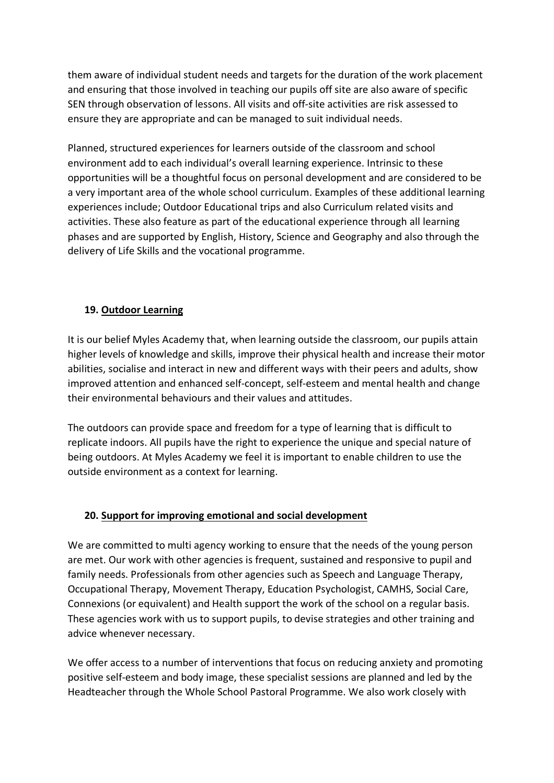them aware of individual student needs and targets for the duration of the work placement and ensuring that those involved in teaching our pupils off site are also aware of specific SEN through observation of lessons. All visits and off-site activities are risk assessed to ensure they are appropriate and can be managed to suit individual needs.

Planned, structured experiences for learners outside of the classroom and school environment add to each individual's overall learning experience. Intrinsic to these opportunities will be a thoughtful focus on personal development and are considered to be a very important area of the whole school curriculum. Examples of these additional learning experiences include; Outdoor Educational trips and also Curriculum related visits and activities. These also feature as part of the educational experience through all learning phases and are supported by English, History, Science and Geography and also through the delivery of Life Skills and the vocational programme.

#### **19. Outdoor Learning**

It is our belief Myles Academy that, when learning outside the classroom, our pupils attain higher levels of knowledge and skills, improve their physical health and increase their motor abilities, socialise and interact in new and different ways with their peers and adults, show improved attention and enhanced self-concept, self-esteem and mental health and change their environmental behaviours and their values and attitudes.

The outdoors can provide space and freedom for a type of learning that is difficult to replicate indoors. All pupils have the right to experience the unique and special nature of being outdoors. At Myles Academy we feel it is important to enable children to use the outside environment as a context for learning.

#### **20. Support for improving emotional and social development**

We are committed to multi agency working to ensure that the needs of the young person are met. Our work with other agencies is frequent, sustained and responsive to pupil and family needs. Professionals from other agencies such as Speech and Language Therapy, Occupational Therapy, Movement Therapy, Education Psychologist, CAMHS, Social Care, Connexions (or equivalent) and Health support the work of the school on a regular basis. These agencies work with us to support pupils, to devise strategies and other training and advice whenever necessary.

We offer access to a number of interventions that focus on reducing anxiety and promoting positive self-esteem and body image, these specialist sessions are planned and led by the Headteacher through the Whole School Pastoral Programme. We also work closely with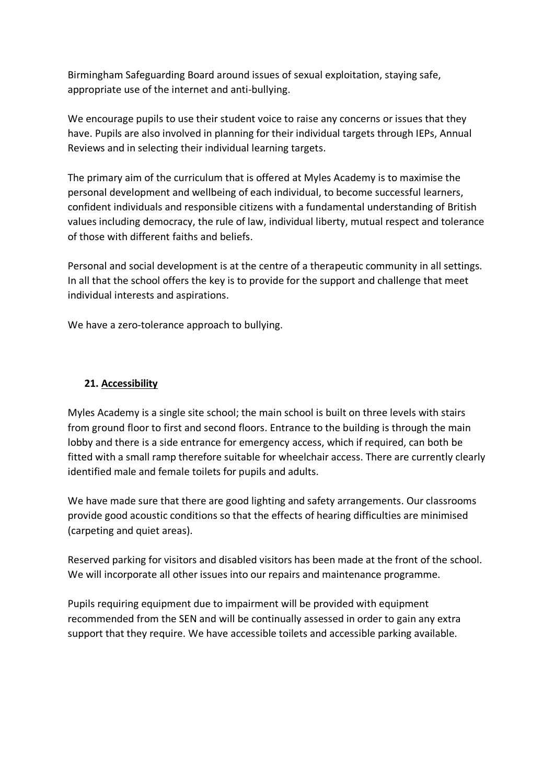Birmingham Safeguarding Board around issues of sexual exploitation, staying safe, appropriate use of the internet and anti-bullying.

We encourage pupils to use their student voice to raise any concerns or issues that they have. Pupils are also involved in planning for their individual targets through IEPs, Annual Reviews and in selecting their individual learning targets.

The primary aim of the curriculum that is offered at Myles Academy is to maximise the personal development and wellbeing of each individual, to become successful learners, confident individuals and responsible citizens with a fundamental understanding of British values including democracy, the rule of law, individual liberty, mutual respect and tolerance of those with different faiths and beliefs.

Personal and social development is at the centre of a therapeutic community in all settings. In all that the school offers the key is to provide for the support and challenge that meet individual interests and aspirations.

We have a zero-tolerance approach to bullying.

## **21. Accessibility**

Myles Academy is a single site school; the main school is built on three levels with stairs from ground floor to first and second floors. Entrance to the building is through the main lobby and there is a side entrance for emergency access, which if required, can both be fitted with a small ramp therefore suitable for wheelchair access. There are currently clearly identified male and female toilets for pupils and adults.

We have made sure that there are good lighting and safety arrangements. Our classrooms provide good acoustic conditions so that the effects of hearing difficulties are minimised (carpeting and quiet areas).

Reserved parking for visitors and disabled visitors has been made at the front of the school. We will incorporate all other issues into our repairs and maintenance programme.

Pupils requiring equipment due to impairment will be provided with equipment recommended from the SEN and will be continually assessed in order to gain any extra support that they require. We have accessible toilets and accessible parking available.